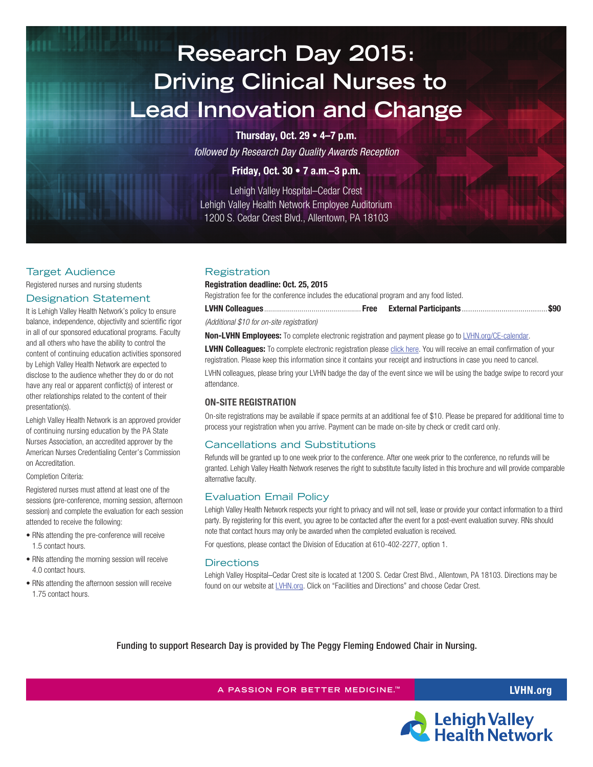# **Research Day 2015: Driving Clinical Nurses to Lead Innovation and Change**

**Thursday, Oct. 29 • 4–7 p.m.**

*followed by Research Day Quality Awards Reception*

# **Friday, Oct. 30 • 7 a.m.–3 p.m.**

Lehigh Valley Hospital–Cedar Crest Lehigh Valley Health Network Employee Auditorium 1200 S. Cedar Crest Blvd., Allentown, PA 18103

## Target Audience

Registered nurses and nursing students

## Designation Statement

It is Lehigh Valley Health Network's policy to ensure balance, independence, objectivity and scientific rigor in all of our sponsored educational programs. Faculty and all others who have the ability to control the content of continuing education activities sponsored by Lehigh Valley Health Network are expected to disclose to the audience whether they do or do not have any real or apparent conflict(s) of interest or other relationships related to the content of their presentation(s).

Lehigh Valley Health Network is an approved provider of continuing nursing education by the PA State Nurses Association, an accredited approver by the American Nurses Credentialing Center's Commission on Accreditation.

## Completion Criteria:

Registered nurses must attend at least one of the sessions (pre-conference, morning session, afternoon session) and complete the evaluation for each session attended to receive the following:

- RNs attending the pre-conference will receive 1.5 contact hours.
- RNs attending the morning session will receive 4.0 contact hours.
- RNs attending the afternoon session will receive 1.75 contact hours.

# **Registration**

## **Registration deadline: Oct. 25, 2015**

Registration fee for the conference includes the educational program and any food listed.

| (Additional \$10 for on-site registration) |  |
|--------------------------------------------|--|

**Non-LVHN Employees:** To complete electronic registration and payment please go to [LVHN.org/CE-calendar.](http://calendar.activedatax.com/lvh/EventRegistration.aspx?Rid=395&Iid=6290&Frm=)

LVHN Colleagues: To complete electronic registration please [click here.](http://calendar.activedatax.com/lvh/EventRegistration.aspx?Rid=392&Iid=6287&Frm=) You will receive an email confirmation of your registration. Please keep this information since it contains your receipt and instructions in case you need to cancel.

LVHN colleagues, please bring your LVHN badge the day of the event since we will be using the badge swipe to record your attendance.

## **On-Site Registration**

On-site registrations may be available if space permits at an additional fee of \$10. Please be prepared for additional time to process your registration when you arrive. Payment can be made on-site by check or credit card only.

# Cancellations and Substitutions

Refunds will be granted up to one week prior to the conference. After one week prior to the conference, no refunds will be granted. Lehigh Valley Health Network reserves the right to substitute faculty listed in this brochure and will provide comparable alternative faculty.

## Evaluation Email Policy

Lehigh Valley Health Network respects your right to privacy and will not sell, lease or provide your contact information to a third party. By registering for this event, you agree to be contacted after the event for a post-event evaluation survey. RNs should note that contact hours may only be awarded when the completed evaluation is received.

For questions, please contact the Division of Education at 610-402-2277, option 1.

## **Directions**

Lehigh Valley Hospital–Cedar Crest site is located at 1200 S. Cedar Crest Blvd., Allentown, PA 18103. Directions may be found on our website at *[LVHN.org.](http://www.lvhn.org/)* Click on "Facilities and Directions" and choose Cedar Crest.

Funding to support Research Day is provided by The Peggy Fleming Endowed Chair in Nursing.

**A PASSION FOR BETTER MEDICINE. LVHN.org ™**